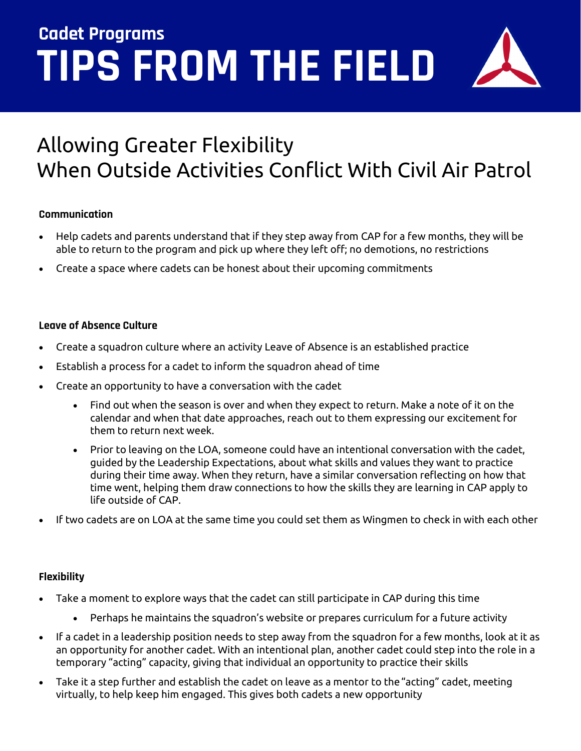# **TIPS FROM THE FIELD Cadet Programs**

# Allowing Greater Flexibility When Outside Activities Conflict With Civil Air Patrol

## **Communication**

- Help cadets and parents understand that if they step away from CAP for a few months, they will be able to return to the program and pick up where they left off; no demotions, no restrictions
- Create a space where cadets can be honest about their upcoming commitments

# **Leave of Absence Culture**

- Create a squadron culture where an activity Leave of Absence is an established practice
- Establish a process for a cadet to inform the squadron ahead of time
- Create an opportunity to have a conversation with the cadet
	- Find out when the season is over and when they expect to return. Make a note of it on the calendar and when that date approaches, reach out to them expressing our excitement for them to return next week.
	- Prior to leaving on the LOA, someone could have an intentional conversation with the cadet, guided by the Leadership Expectations, about what skills and values they want to practice during their time away. When they return, have a similar conversation reflecting on how that time went, helping them draw connections to how the skills they are learning in CAP apply to life outside of CAP.
- If two cadets are on LOA at the same time you could set them as Wingmen to check in with each other

# **Flexibility**

- Take a moment to explore ways that the cadet can still participate in CAP during this time
	- Perhaps he maintains the squadron's website or prepares curriculum for a future activity
- If a cadet in a leadership position needs to step away from the squadron for a few months, look at it as an opportunity for another cadet. With an intentional plan, another cadet could step into the role in a temporary "acting" capacity, giving that individual an opportunity to practice their skills
- Take it a step further and establish the cadet on leave as a mentor to the "acting" cadet, meeting virtually, to help keep him engaged. This gives both cadets a new opportunity